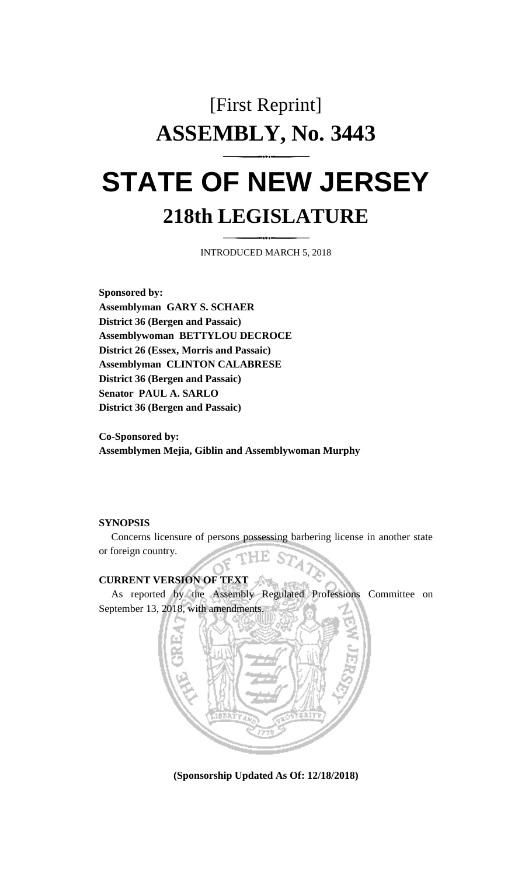# [First Reprint] **ASSEMBLY, No. 3443 STATE OF NEW JERSEY**

## **218th LEGISLATURE**

INTRODUCED MARCH 5, 2018

**Sponsored by: Assemblyman GARY S. SCHAER District 36 (Bergen and Passaic) Assemblywoman BETTYLOU DECROCE District 26 (Essex, Morris and Passaic) Assemblyman CLINTON CALABRESE District 36 (Bergen and Passaic) Senator PAUL A. SARLO District 36 (Bergen and Passaic)**

**Co-Sponsored by: Assemblymen Mejia, Giblin and Assemblywoman Murphy**

#### **SYNOPSIS**

Concerns licensure of persons possessing barbering license in another state or foreign country.

#### **CURRENT VERSION OF TEXT**

As reported by the Assembly Regulated Professions Committee on September 13, 2018, with amendments.

w



**(Sponsorship Updated As Of: 12/18/2018)**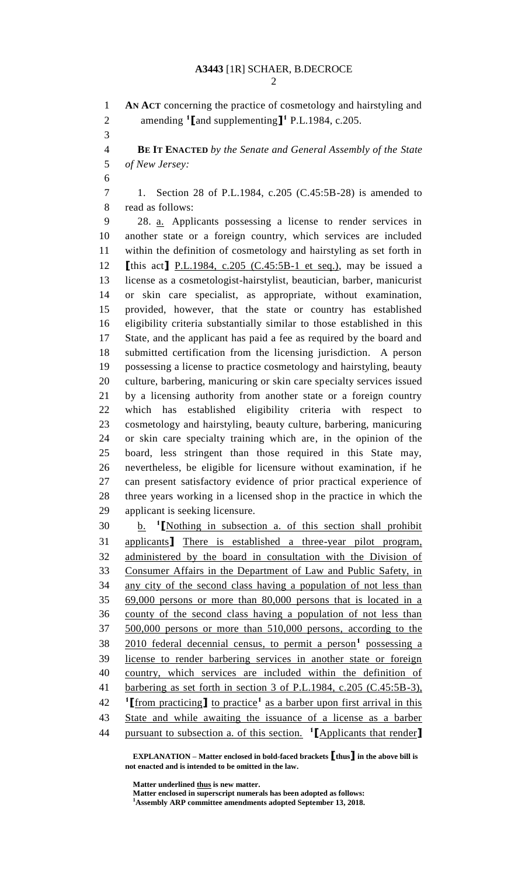**AN ACT** concerning the practice of cosmetology and hairstyling and amending **<sup>1</sup> [**and supplementing**] 1** P.L.1984, c.205. **BE IT ENACTED** *by the Senate and General Assembly of the State of New Jersey:* 1. Section 28 of P.L.1984, c.205 (C.45:5B-28) is amended to read as follows: 28. a. Applicants possessing a license to render services in another state or a foreign country, which services are included within the definition of cosmetology and hairstyling as set forth in **[**this act**]** P.L.1984, c.205 (C.45:5B-1 et seq.), may be issued a license as a cosmetologist-hairstylist, beautician, barber, manicurist or skin care specialist, as appropriate, without examination, provided, however, that the state or country has established eligibility criteria substantially similar to those established in this State, and the applicant has paid a fee as required by the board and submitted certification from the licensing jurisdiction. A person possessing a license to practice cosmetology and hairstyling, beauty culture, barbering, manicuring or skin care specialty services issued by a licensing authority from another state or a foreign country which has established eligibility criteria with respect to cosmetology and hairstyling, beauty culture, barbering, manicuring or skin care specialty training which are, in the opinion of the board, less stringent than those required in this State may, nevertheless, be eligible for licensure without examination, if he can present satisfactory evidence of prior practical experience of three years working in a licensed shop in the practice in which the applicant is seeking licensure. b. **<sup>1</sup> [**Nothing in subsection a. of this section shall prohibit applicants**]** There is established a three-year pilot program, administered by the board in consultation with the Division of Consumer Affairs in the Department of Law and Public Safety, in any city of the second class having a population of not less than 69,000 persons or more than 80,000 persons that is located in a county of the second class having a population of not less than 500,000 persons or more than 510,000 persons, according to the 38 2010 federal decennial census, to permit a person<sup>1</sup> possessing a license to render barbering services in another state or foreign country, which services are included within the definition of barbering as set forth in section 3 of P.L.1984, c.205 (C.45:5B-3), <sup>1</sup>[from practicing] to practice<sup>1</sup> as a barber upon first arrival in this State and while awaiting the issuance of a license as a barber pursuant to subsection a. of this section. **1 [**Applicants that render**]**

**EXPLANATION – Matter enclosed in bold-faced brackets [thus] in the above bill is not enacted and is intended to be omitted in the law.**

**Matter underlined thus is new matter.**

**Matter enclosed in superscript numerals has been adopted as follows: Assembly ARP committee amendments adopted September 13, 2018.**